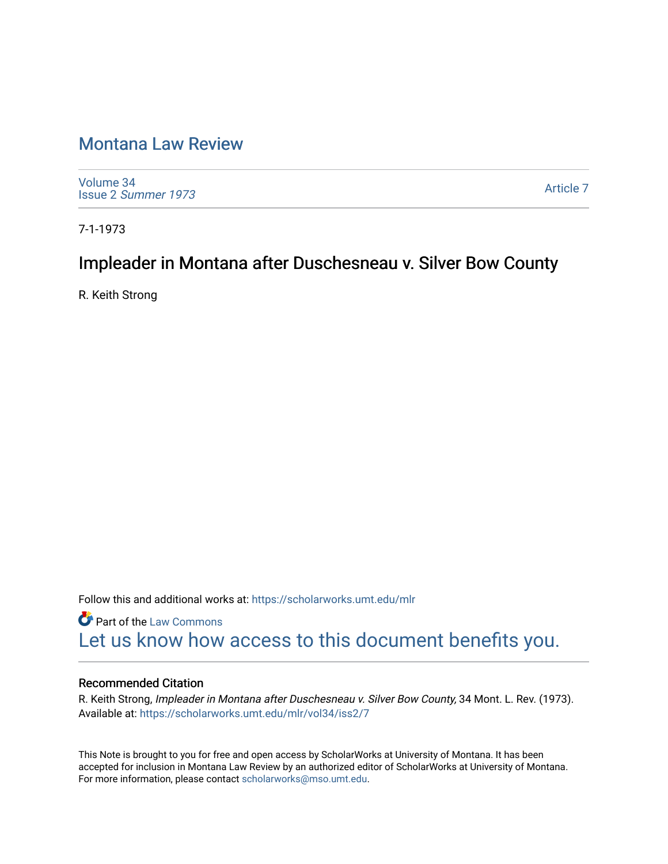## [Montana Law Review](https://scholarworks.umt.edu/mlr)

[Volume 34](https://scholarworks.umt.edu/mlr/vol34) Issue 2 [Summer 1973](https://scholarworks.umt.edu/mlr/vol34/iss2) 

[Article 7](https://scholarworks.umt.edu/mlr/vol34/iss2/7) 

7-1-1973

# Impleader in Montana after Duschesneau v. Silver Bow County

R. Keith Strong

Follow this and additional works at: [https://scholarworks.umt.edu/mlr](https://scholarworks.umt.edu/mlr?utm_source=scholarworks.umt.edu%2Fmlr%2Fvol34%2Fiss2%2F7&utm_medium=PDF&utm_campaign=PDFCoverPages) 

**Part of the [Law Commons](http://network.bepress.com/hgg/discipline/578?utm_source=scholarworks.umt.edu%2Fmlr%2Fvol34%2Fiss2%2F7&utm_medium=PDF&utm_campaign=PDFCoverPages)** [Let us know how access to this document benefits you.](https://goo.gl/forms/s2rGfXOLzz71qgsB2) 

#### Recommended Citation

R. Keith Strong, Impleader in Montana after Duschesneau v. Silver Bow County, 34 Mont. L. Rev. (1973). Available at: [https://scholarworks.umt.edu/mlr/vol34/iss2/7](https://scholarworks.umt.edu/mlr/vol34/iss2/7?utm_source=scholarworks.umt.edu%2Fmlr%2Fvol34%2Fiss2%2F7&utm_medium=PDF&utm_campaign=PDFCoverPages) 

This Note is brought to you for free and open access by ScholarWorks at University of Montana. It has been accepted for inclusion in Montana Law Review by an authorized editor of ScholarWorks at University of Montana. For more information, please contact [scholarworks@mso.umt.edu.](mailto:scholarworks@mso.umt.edu)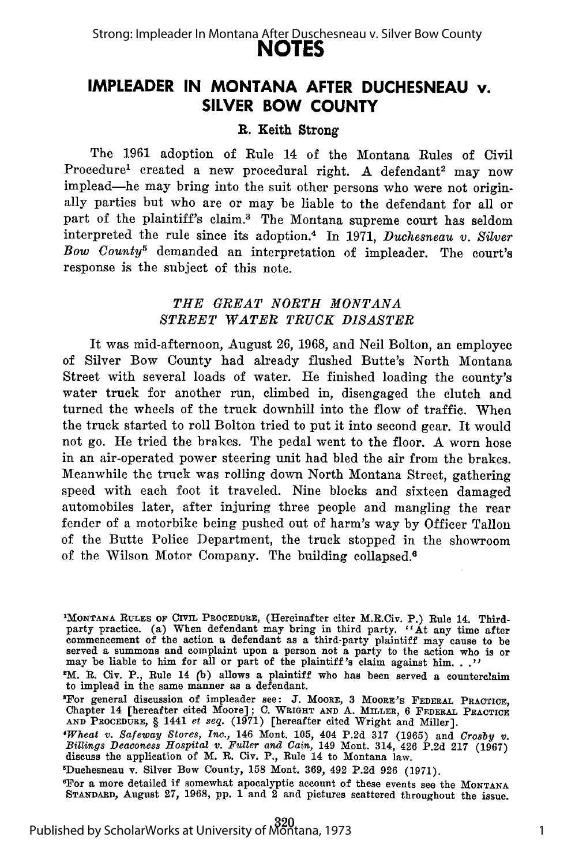## **IMPLEADER IN MONTANA AFTER DUCHESNEAU v. SILVER BOW COUNTY**

#### R. Keith Strong

The 1961 adoption of Rule 14 of the Montana Rules of Civil Procedure<sup>1</sup> created a new procedural right. A defendant<sup>2</sup> may now implead-he may bring into the suit other persons who were not originally parties but who are or may be liable to the defendant for all or part of the plaintiff's claim.3 The Montana supreme court has seldom interpreted the rule since its adoption. 4 In 1971, *Duchesneau v. Silver Bow County5* demanded an interpretation of impleader. The court's response is the subject of this note.

#### THE GREAT NORTH MONTANA *STREET WATER TRUCK DISASTER*

It was mid-afternoon, August 26, 1968, and Neil Bolton, an employee of Silver Bow County had already flushed Butte's North Montana Street with several loads of water. He finished loading the county's water truck for another run, climbed in, disengaged the clutch and turned the wheels of the truck downhill into the flow of traffic. When the truck started to roll Bolton tried to put it into second gear. It would not go. He tried the brakes. The pedal went to the floor. A worn hose in an air-operated power steering unit had bled the air from the brakes. Meanwhile the truck was rolling down North Montana Street, gathering speed with each foot it traveled. Nine blocks and sixteen damaged automobiles later, after injuring three people and mangling the rear fender of a motorbike being pushed out of harm's way by Officer Tallon of the Butte Police Department, the truck stopped in the showroom of the Wilson Motor Company. The building collapsed.6

<sup>&#</sup>x27;MONTANA RuLEs OF **CIVIL** PROCEDURE, (Hereinafter citer M.R.Civ. P.) Rule 14. Third-party practice. (a) When defendant may bring in third party. "At any time after commencement of the action a defendant as a third-party plaintiff may cause to be served a summons and complaint upon a person not a party to the action who is or may be liable to him for all or part of the plaintiff's cla

<sup>9</sup>M. R. Civ. P., Rule 14 **(b)** allows a plaintiff who has been served a counterclaim to implead in the same manner as a defendant.

<sup>&#</sup>x27;For general discussion of impleader see: **J.** MOORE, **3 MOORE'S** FEDERAL PRACTICE, Chapter 14 [hereafter cited Moore]; **C. WRIGHT AND A. MILLER,** 6 **FEDERAL PRACTICE AND PROCEDURE,** § 1441 *et seq.* **(1971)** [hereafter cited Wright and Miller].

*<sup>&#</sup>x27;Wheat v. Safeway Stores, Inc.,* 146 Mont. **105,** 404 **P.2d 317 (1965)** and *Crosby v. Billings Deaconess Hospital* **"v.** *Fuller and Gain,* 149 Mont. 314, 426 P.2d 217 (1967) discuss the application of M. R. Civ. P., Rule 14 to Montana law.

 $D$ uchesneau v. Silver Bow County, 158 Mont. 369, 492 P.2d 926 (1971).

For a more detailed if somewhat apocalyptic account of these events see the MONTANA **STANDARD,** August 27, 1968, pp. 1 and 2 and pictures scattered throughout the issue.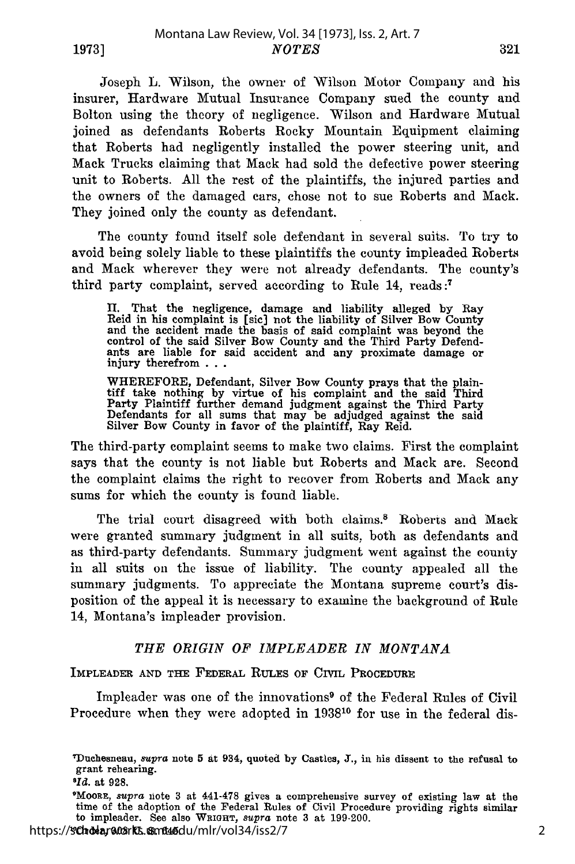Joseph L. Wilson, the owner of Wilson Motor Company and his insurer, Hardware Mutual Insurance Company sued the county and Bolton using the theory of negligence. Wilson and Hardware Mutual joined as defendants Roberts Rocky Mountain Equipment claiming that Roberts had negligently installed the power steering unit, and Mack Trucks claiming that Mack had sold the defective power steering unit to Roberts. All the rest of the plaintiffs, the injured parties and the owners of the damaged cars, chose not to sue Roberts and Mack. They joined only the county as defendant.

The county found itself sole defendant in several suits. To try to avoid being solely liable to these plaintiffs the county impleaded Roberts and Mack wherever they were not already defendants. The county's third party complaint, served according to Rule 14, reads **:7**

II. That the negligence, damage and liability alleged by Ray Reid in his complaint is [sic] not the liability of Silver Bow County and the accident made the basis of said complaint was beyond the control of the said Silver Bow County and the Third Party Defend-ants are liable for said accident and any proximate damage or injury therefrom **...**

WHEREFORE, Defendant, Silver Bow County prays that the plain-<br>tiff take nothing by virtue of his complaint and the said Third Party Plaintiff further demand judgment against the Third Party Defendants for all sums that may be adjudged against the said Silver Bow County in favor of the plaintiff, Ray Reid.

The third-party complaint seems to make two claims. First the complaint says that the county is not liable but Roberts and Mack are. Second the complaint claims the right to recover from Roberts and Mack any sums for which the county is found liable.

The trial court disagreed with both claims.<sup>8</sup> Roberts and Mack were granted summary judgment in all suits, both as defendants and as third-party defendants. Summary judgment went against the county in all suits on the issue of liability. The county appealed all the summary judgments. To appreciate the Montana supreme court's disposition of the appeal it is necessary to examine the background of Rule 14, Montana's impleader provision.

#### *THE ORIGIN OF IMPLEADER IN MONTANA*

IMPLEADER AND THE FEDERAL **RULES** OF CIVIL PROCEDURE

Impleader was one of the innovations<sup>9</sup> of the Federal Rules of Civil Procedure when they were adopted in 193810 for use in the federal dis-

<sup>&#</sup>x27;MooRE, *supra* note 3 at 441-478 gives a comprehensive survey of existing law at the time of the adoption of the Federal Rules of Civil Procedure providing rights similar to impleader. See also **WRIGHT,** *supra* **note 3** at **199-200.**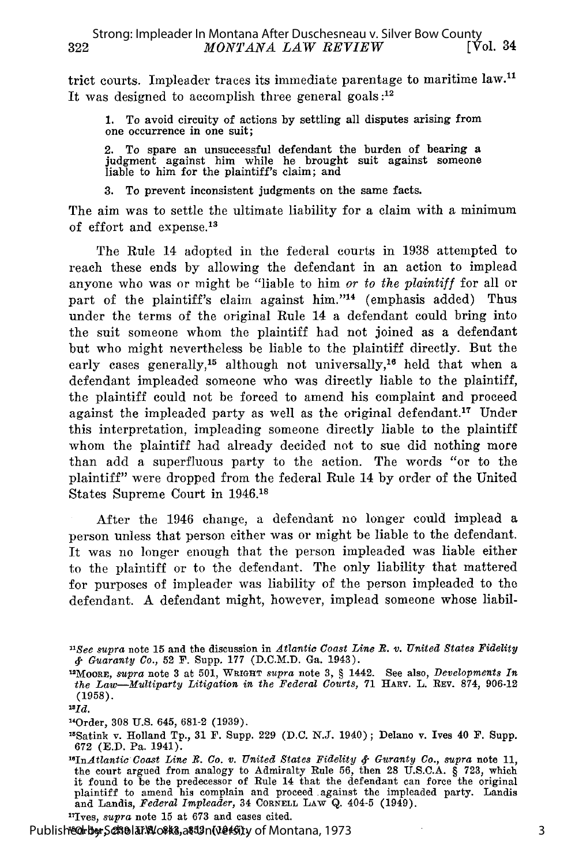trict courts. Impleader traces its immediate parentage to maritime law.<sup>11</sup> It was designed to accomplish three general goals **:12**

1. To avoid circuity of actions by settling all disputes arising from one occurrence in one suit;

2. To spare an unsuccessful defendant the burden of bearing a judgment against him while he brought suit against someone liable to him for the plaintiff's claim; and

3. To prevent inconsistent judgments on the same facts.

The aim was to settle the ultimate liability for a claim with a minimum of effort and expense.'<sup>3</sup>

The Rule 14 adopted in the federal courts in 1938 attempted to reach these ends by allowing the defendant in an action to implead anyone who was or might be "liable to him *or to the plaintiff* for all or part of the plaintiff's claim against him."<sup>14</sup> (emphasis added) Thus under the terms of the original Rule 14 a defendant could bring into the suit someone whom the plaintiff had not joined as a defendant but who might nevertheless be liable to the plaintiff directly. But the early cases generally,<sup>15</sup> although not universally,<sup>16</sup> held that when a defendant impleaded someone who was directly liable to the plaintiff, the plaintiff could not be forced to amend his complaint and proceed against the impleaded party as well as the original defendant.<sup>17</sup> Under this interpretation, impleading someone directly liable to the plaintiff whom the plaintiff had already decided not to sue did nothing more than add a superfluous party to the action. The words "or to the plaintiff" were dropped from the federal Rule 14 by order of the United States Supreme Court in 1946.18

After the 1946 change, a defendant no longer could implead a person unless that person either was or might be liable to the defendant. It was no longer enough that the person impleaded was liable either to the plaintiff or to the defendant. The only liability that mattered for purposes of impleader was liability of the person impleaded to the defendant. A defendant might, however, implead someone whose liabil-

17Ives, *supra* note 15 at 673 and cases cited.

Published by Scholar Alot ks, at 12n (versity of Montana, 1973

*<sup>&</sup>quot;See supra* note 15 and the discussion in *Atlantic Coast Line R. v. United States Fidelity* **&** *Guaranty Co.,* 52 F. Supp. 177 (D.C.M.D. Ga. 1943).

<sup>1</sup> 2 MOORE, *supra* note 3 at 501, **WRIGHT** *supra* note 3, **§** 1442. See also, *Developments In the Law-Multiparty Litigation in the Federal Courts,* 71 HARV. L. REv. 874, 906-12 (1958).

*<sup>3</sup> 1id.*

<sup>1</sup>Order, 308 U.S. 645, 681-2 (1939).

<sup>1</sup> 5 Satink v. Holland Tp., 31 F. Supp. 229 (D.C. N.J. 1940); Delano v. Ives 40 F. Supp. 672 (E.D. Pa. 1941).

*<sup>&#</sup>x27;InAtlantic Coast Line B. Co. v. United States Fidelity* **&-** *Guranty Co., supra* note 11, the court argued from analogy to Admiralty Rule 56, then 28 U.S.C.A. § 723, which<br>it found to be the predecessor of Rule 14 that the defendant can force the original<br>plaintiff to amend his complain and proceed against the and Landis, *Federal Impleader,* 34 CORNELL LAW Q. 404-5 (1949).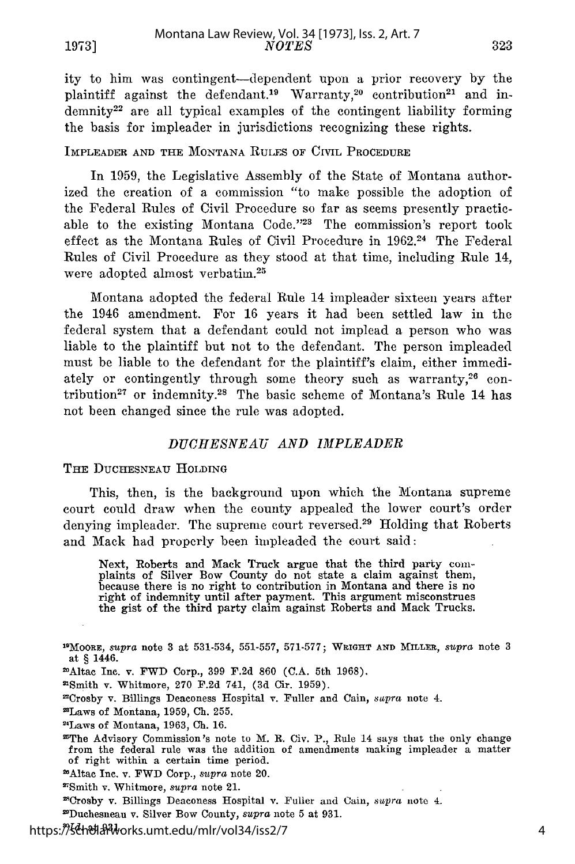ity to him was contingent-dependent upon a prior recovery by the plaintiff against the defendant.<sup>19</sup> Warranty,<sup>20</sup> contribution<sup>21</sup> and in  $d$ emnity<sup>22</sup> are all typical examples of the contingent liability forming the basis for impleader in jurisdictions recognizing these rights.

#### IMPLEADER AND THE MONTANA RULES OF CIVIL PROCEDURE

In 1959, the Legislative Assembly of the State of Montana authorized the creation of a commission "to make possible the adoption of the Federal Rules of Civil Procedure so far as seems presently practicable to the existing Montana Code."23 The commission's report took effect as the Montana Rules of Civil Procedure in 1962.<sup>24</sup> The Federal Rules of Civil Procedure as they stood at that time, including Rule 14, were adopted almost verbatim.<sup>25</sup>

Montana adopted the federal Rule 14 impleader sixteen years after the 1946 amendment. For 16 years it had been settled law in the federal system that a defendant could not implead a person who was liable to the plaintiff but not to the defendant. The person impleaded must be liable to the defendant for the plaintiff's claim, either immediately or contingently through some theory such as warranty,<sup>26</sup> contribution<sup>27</sup> or indemnity.<sup>28</sup> The basic scheme of Montana's Rule 14 has not been changed since the rule was adopted.

#### *DUCHESNEAU AND IMPLEADER*

THE DUCHESNEAU HOLDING

This, then, is the background upon which the Montana supreme court could draw when the county appealed the lower court's order denying impleader. The supreme court reversed.<sup>29</sup> Holding that Roberts and Mack had properly been impleaded the court said:

Next, Roberts and Mack Truck argue that the third party com- plaints of Silver Bow County do not state a claim against them, because there is no right to contribution in Montana and there is no right of indemnity until after payment. This argument misconstrues the gist of the third party claim against Roberts and Mack Trucks.

' 9 MOORE, *supra* note 3 at 531-534, 551-557, 571-577; **WRIGHT AND MILLER,** *supra* note 3 at § 1446.

21Altac Inc. v. FWD Corp., 399 F.2d 860 (C.A. 5th 1968). <sup>t</sup> Smith v. Whitmore, 270 **F.2d** 741, (3d Cir. 1959).

2Crosby v. Billings Deaconess Hospital v. Fuller and Cain, *sapra* note 4.

2Laws of Montana, 1959, **Ch.** 255. 24Laws of Montana, 1963, **Ch.** 16.

2The Advisory Commission's note to M. **R.** Civ. P., Rule 14 says that the only change from the federal rule was the addition of amendments making impleader a matter of right within a certain time period.

2Altac Inc. v. FWD Corp., *supra* note 20.

'Smith v. Whitmore, *supra* note 21.

'Crosby v. Billings Deaconess Hospital v. Fuller and Cain, *sapra* note 4.

'Duchesneau v. Silver Bow County, *supra* note 5 at 931.

https:*『パ* 《 · <br>https:// 《 · https://works.umt.edu/mlr/vol34/iss2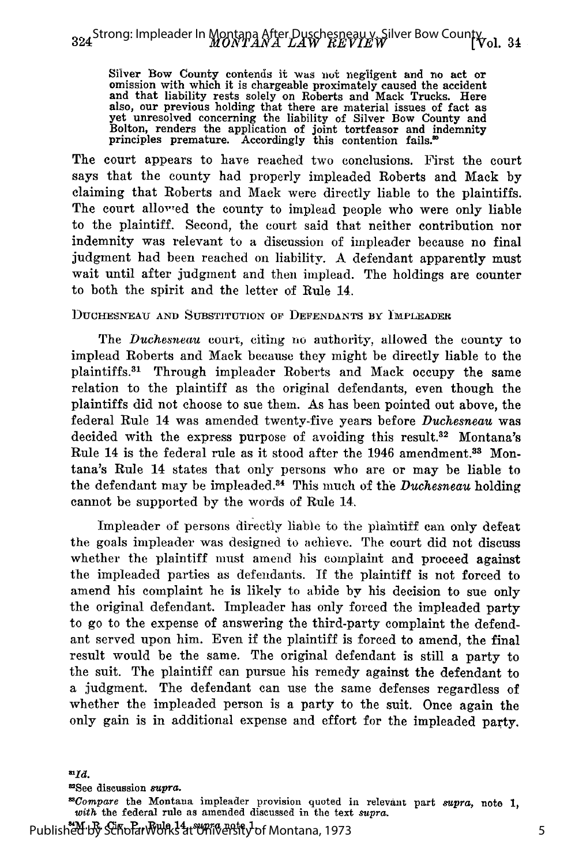Silver Bow County contends it was not negligent and no act or omission with which it is chargeable proximately caused the accident and that liability rests solely on Roberts and Mack Trucks. Here also, our previous holding that there are material issues of fact as yet unresolved concerning the liability of Silver Bow County and Bolton, renders the application of joint tortfeasor and indemnity principles premature. Accordingly this contention fails.'

The court appears to have reached two conclusions. First the court says that the county had properly impleaded Roberts and Mack by claiming that Roberts and Mack were directly liable to the plaintiffs. The court alloved the county to implead people who were only liable to the plaintiff. Second, the court said that neither contribution nor indemnity was relevant to a discussion of impleader because no final judgment had been reached on liability. A defendant apparently must wait until after judgment and then implead. The holdings are counter to both the spirit and the letter of Rule 14.

#### **DUCHESNEAU AND SUBSTITUTION OF DEFENDANTS BY IMPLEADER**

The *Duchesneau* court, citing no authority, allowed the county to implead Roberts and Mack because they might be directly liable to the plaintiffs.8 1 Through impleader Roberts and Mack occupy the same relation to the plaintiff as the original defendants, even though the plaintiffs did not choose to sue them. As has been pointed out above, the federal Rule 14 was amended twenty-five years before *Duchesneau* was decided with the express purpose of avoiding this result.<sup>32</sup> Montana's Rule 14 is the federal rule as it stood after the 1946 amendment.<sup>33</sup> Montana's Rule 14 states that only persons who are or may be liable to the defendant may be impleaded.<sup>34</sup> This much of the *Duchesneau* holding cannot be supported by the words of Rule 14.

Impleader of persons directly liable to the plaintiff can only defeat the goals impleader was designed to achieve. The court did not discuss whether the plaintiff must amend his complaint and proceed against the impleaded parties as defendants. If the plaintiff is not forced to amend his complaint he is likely to abide by his decision to sue only the original defendant. Impleader has only forced the impleaded party to go to the expense of answering the third-party complaint the defendant served upon him. Even if the plaintiff is forced to amend, the final result would be the same. The original defendant is still a party to the suit. The plaintiff can pursue his remedy against the defendant to a judgment. The defendant can use the same defenses regardless of whether the impleaded person is a party to the suit. Once again the only gain is in additional expense and effort for the impleaded party.

9See discussion *supra. 33Compare* the Montana impleader provision quoted in relevant part *supra,* note 1, *with* the federal rule as amended discussed in the text *supra.*

Published by Scholar\<sup>Rule 1</sup>1 t<sup>e</sup>rm eath <sup>1</sup> of Montana, 1973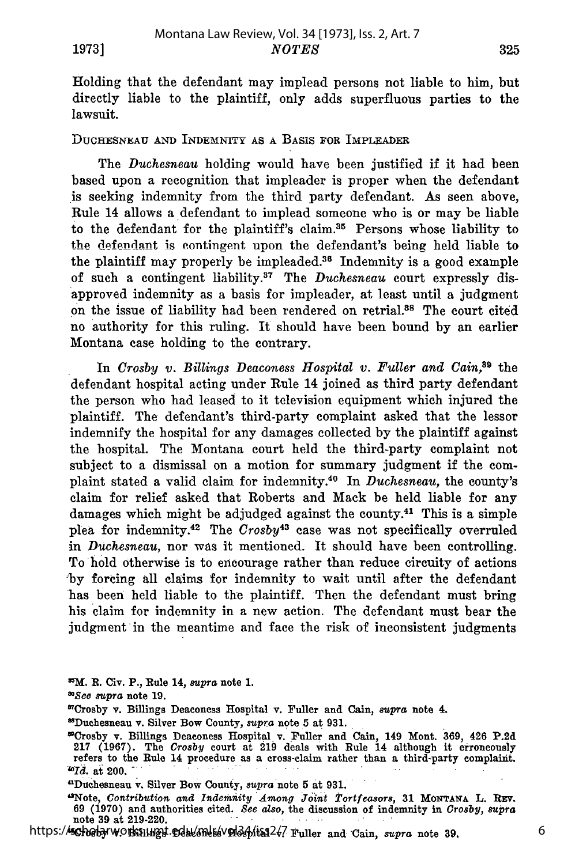Holding that the defendant may implead persons not liable to him, but directly liable to the plaintiff, only adds superfluous parties to the lawsuit.

#### **DUCHESNEAU AND** INDEMNITY **AS A BASIS FOR IMPLEADER**

The *Duchesneau* holding would have been justified if it had been based upon a recognition that impleader is proper when the defendant is seeking indemnity from the third party defendant. As seen above, Rule 14 allows a defendant to implead someone who is or may be liable to the defendant for the plaintiff's claim.<sup>35</sup> Persons whose liability to the **defendant is** eontingent upon the defendant's being held liable to the plaintiff may properly be impleaded.<sup>36</sup> Indemnity is a good example of such a contingent liability.<sup>37</sup> The *Duchesneau* court expressly disapproved indemnity as a basis for impleader, at least until a judgment on the issue of liability had been rendered on retrial.88 The court cited no authority for this ruling. It should have been bound by an earlier Montana case holding to the contrary.

In *Crosby v. Billings Deaconess Hospital v. Fuller and Cain,89* the defendant hospital acting under Rule 14 joined as third party defendant the person who had leased to it television equipment which injured the plaintiff. The defendant's third-party complaint asked that the lessor indemnify the hospital for any damages collected by the plaintiff against the hospital. The Montana court held the third-party complaint not subject to a dismissal on a motion for summary judgment if the complaint stated a valid claim for indemnity.40 In *Duchesneau,* the county's claim for relief asked that Roberts and Mack be held liable for any damages which might be adjudged against the county.41 This is a simple plea for indemnity. 42 The *Crosby<sup>43</sup>*ease was not specifically overruled in *Duchesneau,* nor was it mentioned. It should have been controlling. To hold otherwise is to encourage rather than reduce circuity of actions **by** forcing all claims for indemnity to wait until after the defendant has been held liable to the plaintiff. Then the defendant must bring his claim for indemnity in a new action. The defendant must bear the judgment in the meantime and face the risk of inconsistent judgments

**85M. R. Civ. P., Rule 14,** *supra* **note 1.**

*O'See supra* **note 19.**

**fDuchesneau** v. Silver **Bow** County, *supra* **note 5 at 931.**

"Crosby v. Billings **Deaconess Hospital** v. Fuller **and** Cain, 149 **Mont. 369,** 426 **P.2d 217 (1967). The** *Crosby* **court** at **219** deals with Rule 14 although it **erroneously refers** to the **Rule 14** procedure **as a cross-claim** rather **than a** third-party complaint. *<sup>0</sup> Id,* **at** 200.

**dDuchesneau** v. Silver **Bow** County, *supra* **note 5** at **931.**

**"Note,** *Contribution and Indennity Among Joint Tortfeasors,* **31 MONTANA L. Rzv. 69 (1970) and** authorities cited. *See also,* the **discussion** of indemnity **in** *Crosby, aUPtra* note **39 at 219-220.**

https://scholarworks.umpt.edu/mls/vol34/iss2/7 Fuller and Cain, *supra* note 39.

<sup>&#</sup>x27;7Crosby v. Billings **Deaconess** Hospital v. Fuller and **Cain,** *supra* **note** 4.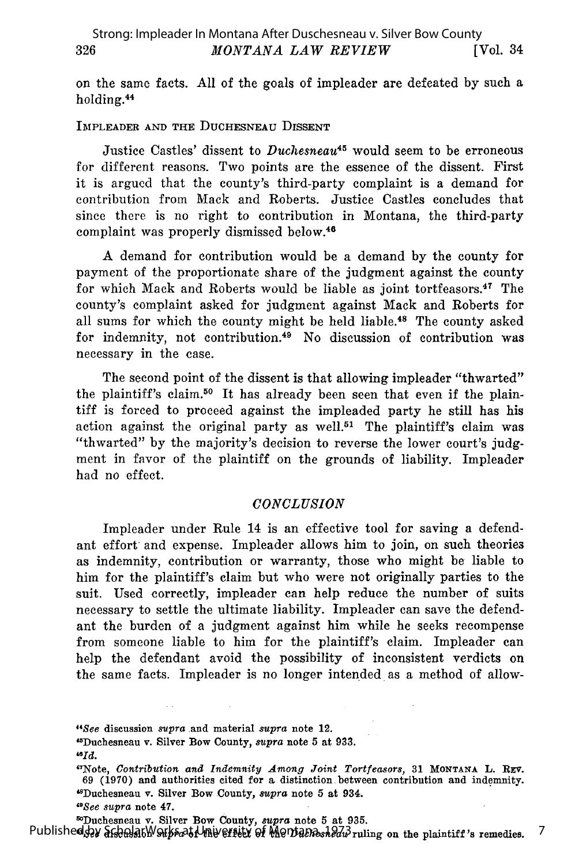on the same facts. All of the goals of impleader are defeated by such a holding.<sup>44</sup>

#### IMPLEADER **AND** THE DUCHESNEAU **DISSENT**

Justice Castles' dissent to *Duchesneau45* would seem to be erroneous for different reasons. Two points are the essence of the dissent. First it is argued that the county's third-party complaint is a demand for contribution from Mack and Roberts. Justice Castles concludes that since there is no right to contribution in Montana, the third-party complaint was properly dismissed below. <sup>46</sup>

A demand for contribution would be a demand **by** the county for payment of the proportionate share of the judgment against the county for which Mack and Roberts would be liable as joint tortfeasors.<sup>47</sup> The county's complaint asked for judgment against Mack and Roberts for all sums for which the county might be held liable.<sup>48</sup> The county asked for indemnity, not contribution.49 No discussion of contribution was necessary in the case.

The second point of the dissent is that allowing impleader "thwarted" the plaintiff's claim.<sup>50</sup> It has already been seen that even if the plaintiff is forced to proceed against the impleaded party he still has his action against the original party as well.<sup>51</sup> The plaintiff's claim was "thwarted" by the majority's decision to reverse the lower court's judgment in favor of the plaintiff on the grounds of liability. Impleader had no effect.

#### *CONCLUSION*

Impleader under Rule 14 is an effective tool for saving a defendant effort and expense. Impleader allows him to join, on such theories as indemnity, contribution or warranty, those who might be liable to him for the plaintiff's claim but who were not originally parties to the suit. Used correctly, impleader can help reduce the number of suits necessary to settle the ultimate liability. Impleader can save the defendant the burden of a judgment against him while he seeks recompense from someone liable to him for the plaintiff's claim. Impleader can help the defendant avoid the possibility of inconsistent verdicts on the same facts. Impleader is no longer intended as a method of allow-

*"See* discussion *supra* and material *supra* note 12. ' 5 Duchesneau v. Silver Bow County, *supra* note 5 at **933.** *"Id.*

' 7 Note, *Contribution and Indemnity Among Joint Tortfeasors,* 31 **MONTANA** L. REv. 69 (1970) and authorities cited for a distinction between contribution and indemnity. tSDuchesneau v. Silver **Bow** County, *supra* note **5** at 934.

7

*9 8See supra* note 47.

so Duchesneau v. Silver Bow County, *supra* note 5 at 935.<br>Published 92 afgada 6<sup>1</sup> Published 92 afgada 6<sup>1</sup> Published 92 afgada 1 ming on the plaintiff's remedies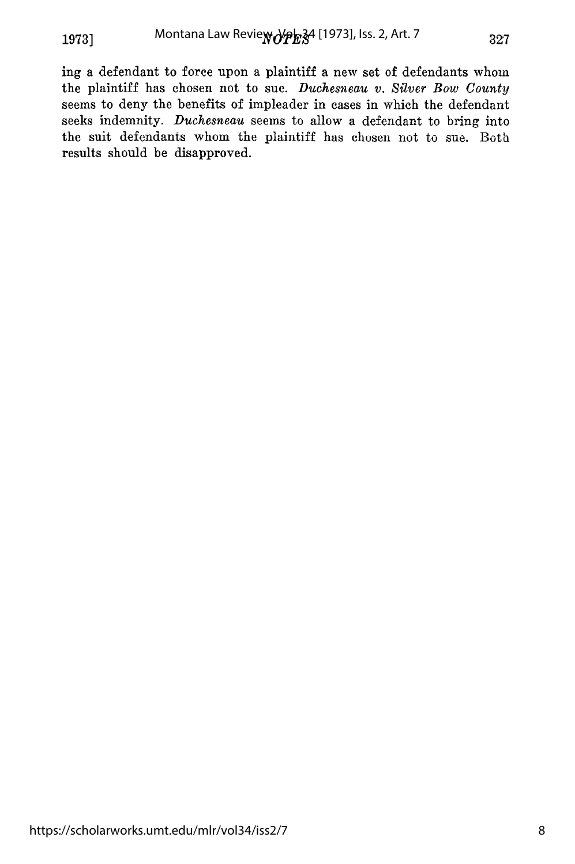ing a defendant to force upon a plaintiff a new set of defendants whom the plaintiff has chosen not to sue. *Duchesneau v. Silver Bow County* seems to deny the benefits of impleader in cases in which the defendant seeks indemnity. *Duchesneau* seems to allow a defendant to bring into the suit defendants whom the plaintiff has chosen not to sue. Both results should be disapproved.